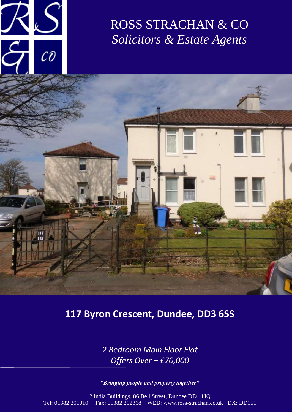

ROSS STRACHAN & CO *Solicitors & Estate Agents*



**117 Byron Crescent, Dundee, DD3 6SS**

*2 Bedroom Main Floor Flat Offers Over – £70,000*

*"Bringing people and property together"*

2 India Buildings, 86 Bell Street, Dundee DD1 1JQ Tel: 01382 201010 Fax: 01382 202368 WEB: [www.ross-strachan.co.uk](http://www.ross-strachan.co.uk/) DX: DD151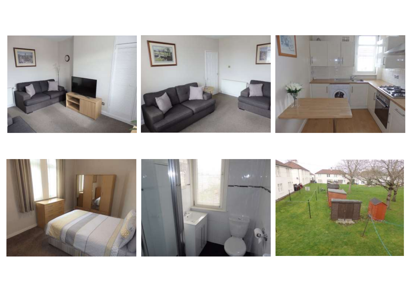

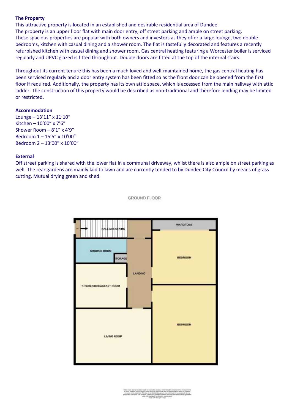## **The Property**

This attractive property is located in an established and desirable residential area of Dundee. The property is an upper floor flat with main door entry, off street parking and ample on street parking. These spacious properties are popular with both owners and investors as they offer a large lounge, two double bedrooms, kitchen with casual dining and a shower room. The flat is tastefully decorated and features a recently refurbished kitchen with casual dining and shower room. Gas central heating featuring a Worcester boiler is serviced regularly and UPVC glazed is fitted throughout. Double doors are fitted at the top of the internal stairs.

Throughout its current tenure this has been a much loved and well-maintained home, the gas central heating has been serviced regularly and a door entry system has been fitted so as the front door can be opened from the first floor if required. Additionally, the property has its own attic space, which is accessed from the main hallway with attic ladder. The construction of this property would be described as non-traditional and therefore lending may be limited or restricted.

## **Accommodation**

Lounge  $-13'11''$  x  $11'10''$ Kitchen – 10'00" x 7'6" Shower Room – 8'1" x 4'9" Bedroom 1 – 15'5" x 10'00" Bedroom 2 – 13'00" x 10'00"

## **External**

Off street parking is shared with the lower flat in a communal driveway, whilst there is also ample on street parking as well. The rear gardens are mainly laid to lawn and are currently tended to by Dundee City Council by means of grass cutting. Mutual drying green and shed.

GROUND FLOOR